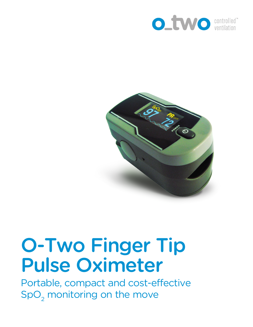



## O-Two Finger Tip Pulse Oximeter

Portable, compact and cost-effective  $\mathsf{SpO}_2$  monitoring on the move